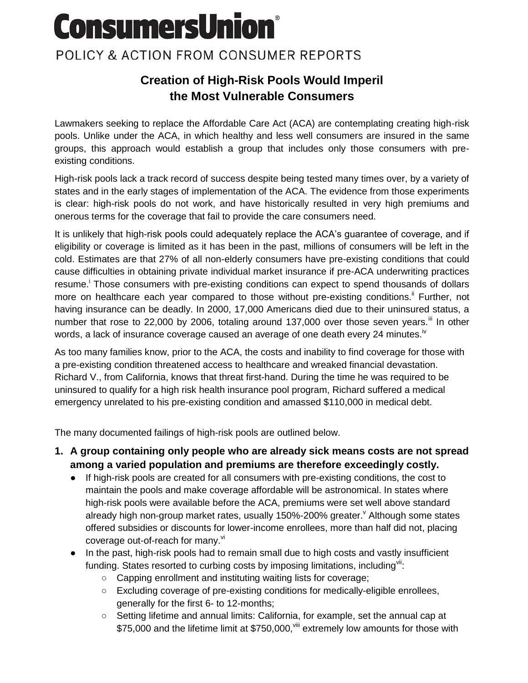# **ConsumersUnion®**

## POLICY & ACTION FROM CONSUMER REPORTS

## **Creation of High-Risk Pools Would Imperil the Most Vulnerable Consumers**

Lawmakers seeking to replace the Affordable Care Act (ACA) are contemplating creating high-risk pools. Unlike under the ACA, in which healthy and less well consumers are insured in the same groups, this approach would establish a group that includes only those consumers with preexisting conditions.

High-risk pools lack a track record of success despite being tested many times over, by a variety of states and in the early stages of implementation of the ACA. The evidence from those experiments is clear: high-risk pools do not work, and have historically resulted in very high premiums and onerous terms for the coverage that fail to provide the care consumers need.

It is unlikely that high-risk pools could adequately replace the ACA's guarantee of coverage, and if eligibility or coverage is limited as it has been in the past, millions of consumers will be left in the cold. Estimates are that 27% of all non-elderly consumers have pre-existing conditions that could cause difficulties in obtaining private individual market insurance if pre-ACA underwriting practices resume.<sup>i</sup> Those consumers with pre-existing conditions can expect to spend thousands of dollars more on healthcare each year compared to those without pre-existing conditions.<sup>ii</sup> Further, not having insurance can be deadly. In 2000, 17,000 Americans died due to their uninsured status, a number that rose to 22,000 by 2006, totaling around 137,000 over those seven years.<sup>iii</sup> In other words, a lack of insurance coverage caused an average of one death every 24 minutes.<sup>iv</sup>

As too many families know, prior to the ACA, the costs and inability to find coverage for those with a pre-existing condition threatened access to healthcare and wreaked financial devastation. Richard V., from California, knows that threat first-hand. During the time he was required to be uninsured to qualify for a high risk health insurance pool program, Richard suffered a medical emergency unrelated to his pre-existing condition and amassed \$110,000 in medical debt.

The many documented failings of high-risk pools are outlined below.

- **1. A group containing only people who are already sick means costs are not spread among a varied population and premiums are therefore exceedingly costly.**
	- If high-risk pools are created for all consumers with pre-existing conditions, the cost to maintain the pools and make coverage affordable will be astronomical. In states where high-risk pools were available before the ACA, premiums were set well above standard already high non-group market rates, usually 150%-200% greater. Although some states offered subsidies or discounts for lower-income enrollees, more than half did not, placing coverage out-of-reach for many.<sup>vi</sup>
	- In the past, high-risk pools had to remain small due to high costs and vastly insufficient funding. States resorted to curbing costs by imposing limitations, including<sup>vii</sup>:
		- Capping enrollment and instituting waiting lists for coverage;
		- Excluding coverage of pre-existing conditions for medically-eligible enrollees, generally for the first 6- to 12-months;
		- Setting lifetime and annual limits: California, for example, set the annual cap at \$75,000 and the lifetime limit at \$750,000, Vill extremely low amounts for those with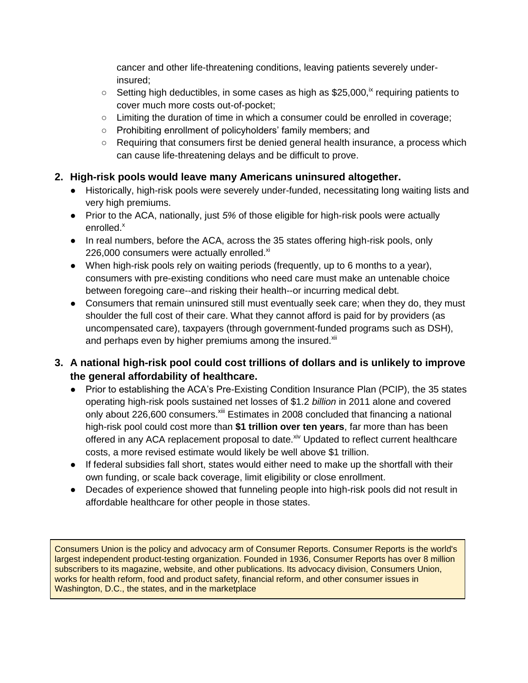cancer and other life-threatening conditions, leaving patients severely underinsured;

- $\degree$  Setting high deductibles, in some cases as high as \$25,000,<sup>ix</sup> requiring patients to cover much more costs out-of-pocket;
- Limiting the duration of time in which a consumer could be enrolled in coverage;
- Prohibiting enrollment of policyholders' family members; and
- Requiring that consumers first be denied general health insurance, a process which can cause life-threatening delays and be difficult to prove.

#### **2. High-risk pools would leave many Americans uninsured altogether.**

- Historically, high-risk pools were severely under-funded, necessitating long waiting lists and very high premiums.
- Prior to the ACA, nationally, just *5%* of those eligible for high-risk pools were actually enrolled.<sup>x</sup>
- In real numbers, before the ACA, across the 35 states offering high-risk pools, only 226,000 consumers were actually enrolled. $x_i$
- When high-risk pools rely on waiting periods (frequently, up to 6 months to a year), consumers with pre-existing conditions who need care must make an untenable choice between foregoing care--and risking their health--or incurring medical debt.
- Consumers that remain uninsured still must eventually seek care; when they do, they must shoulder the full cost of their care. What they cannot afford is paid for by providers (as uncompensated care), taxpayers (through government-funded programs such as DSH), and perhaps even by higher premiums among the insured.<sup>xii</sup>

### **3. A national high-risk pool could cost trillions of dollars and is unlikely to improve the general affordability of healthcare.**

- Prior to establishing the ACA's Pre-Existing Condition Insurance Plan (PCIP), the 35 states operating high-risk pools sustained net losses of \$1.2 *billion* in 2011 alone and covered only about 226,600 consumers.<sup>xiii</sup> Estimates in 2008 concluded that financing a national high-risk pool could cost more than **\$1 trillion over ten years**, far more than has been offered in any ACA replacement proposal to date.<sup>xiv</sup> Updated to reflect current healthcare costs, a more revised estimate would likely be well above \$1 trillion.
- If federal subsidies fall short, states would either need to make up the shortfall with their own funding, or scale back coverage, limit eligibility or close enrollment.
- Decades of experience showed that funneling people into high-risk pools did not result in affordable healthcare for other people in those states.

Consumers Union is the policy and advocacy arm of Consumer Reports. Consumer Reports is the world's largest independent product-testing organization. Founded in 1936, Consumer Reports has over 8 million subscribers to its magazine, website, and other publications. Its advocacy division, Consumers Union, works for health reform, food and product safety, financial reform, and other consumer issues in Washington, D.C., the states, and in the marketplace